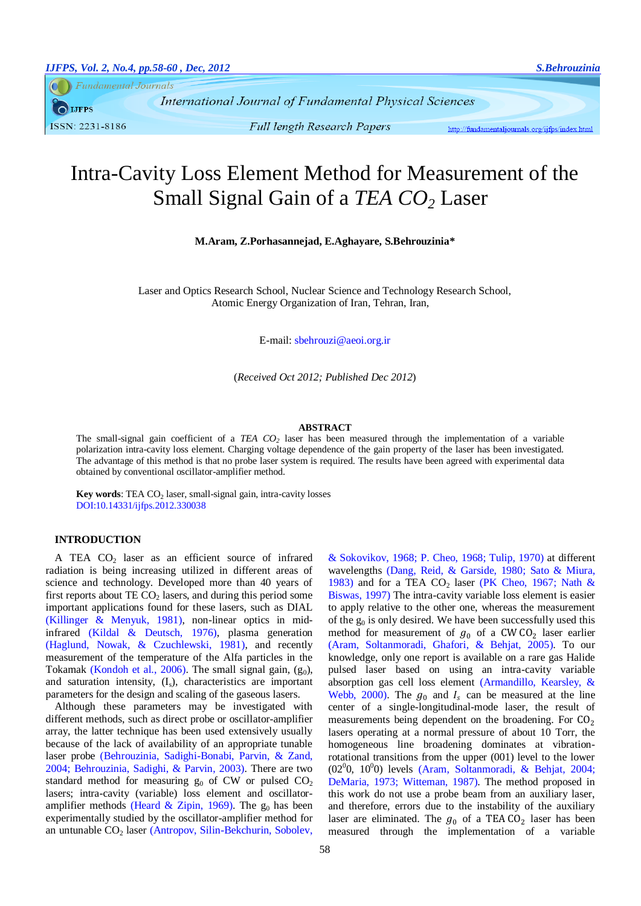**Fundamental Journals** 

**IJFPS** ISSN: 2231-8186

**Full length Research Papers** 

http://fundamentaljournals.org/ijfps/index.html

# Intra-Cavity Loss Element Method for Measurement of the Small Signal Gain of a *TEA CO<sup>2</sup>* Laser

**M.Aram, Z.Porhasannejad, E.Aghayare, S.Behrouzinia\***

Laser and Optics Research School, Nuclear Science and Technology Research School, Atomic Energy Organization of Iran, Tehran, Iran,

E-mail: sbehrouzi@aeoi.org.ir

(*Received Oct 2012; Published Dec 2012*)

#### **ABSTRACT**

The small-signal gain coefficient of a *TEA CO<sup>2</sup>* laser has been measured through the implementation of a variable polarization intra-cavity loss element. Charging voltage dependence of the gain property of the laser has been investigated. The advantage of this method is that no probe laser system is required. The results have been agreed with experimental data obtained by conventional oscillator-amplifier method.

**Key words:** TEA CO<sub>2</sub> laser, small-signal gain, intra-cavity losses DOI:10.14331/ijfps.2012.330038

## **INTRODUCTION**

A TEA  $CO<sub>2</sub>$  laser as an efficient source of infrared radiation is being increasing utilized in different areas of science and technology. Developed more than 40 years of first reports about  $TE CO<sub>2</sub>$  lasers, and during this period some important applications found for these lasers, such as DIAL [\(Killinger & Menyuk, 1981\)](#page-2-0), non-linear optics in midinfrared [\(Kildal & Deutsch, 1976\)](#page-2-1), plasma generation [\(Haglund, Nowak, & Czuchlewski, 1981\)](#page-2-2), and recently measurement of the temperature of the Alfa particles in the Tokamak [\(Kondoh et al., 2006\)](#page-2-3). The small signal gain,  $(g_0)$ , and saturation intensity,  $(I_s)$ , characteristics are important parameters for the design and scaling of the gaseous lasers.

Although these parameters may be investigated with different methods, such as direct probe or oscillator-amplifier array, the latter technique has been used extensively usually because of the lack of availability of an appropriate tunable laser probe [\(Behrouzinia, Sadighi-Bonabi, Parvin, & Zand,](#page-2-4)  [2004;](#page-2-4) [Behrouzinia, Sadighi, & Parvin, 2003\)](#page-2-5). There are two standard method for measuring  $g_0$  of CW or pulsed  $CO<sub>2</sub>$ lasers; intra-cavity (variable) loss element and oscillator-amplifier methods [\(Heard & Zipin, 1969\)](#page-2-6). The  $g_0$  has been experimentally studied by the oscillator-amplifier method for an untunable CO<sub>2</sub> laser (Antropov, Silin-Bekchurin, Sobolev,

[& Sokovikov, 1968;](#page-2-7) [P. Cheo, 1968;](#page-2-8) [Tulip, 1970\)](#page-2-9) at different wavelengths [\(Dang, Reid, & Garside, 1980;](#page-2-10) [Sato & Miura,](#page-2-11)  [1983\)](#page-2-11) and for a TEA  $CO<sub>2</sub>$  laser [\(PK Cheo, 1967;](#page-2-12) Nath & [Biswas, 1997\)](#page-2-13) The intra-cavity variable loss element is easier to apply relative to the other one, whereas the measurement of the  $g_0$  is only desired. We have been successfully used this method for measurement of  $g_0$  of a CW CO<sub>2</sub> laser earlier [\(Aram, Soltanmoradi, Ghafori, & Behjat, 2005\)](#page-2-14). To our knowledge, only one report is available on a rare gas Halide pulsed laser based on using an intra-cavity variable absorption gas cell loss element [\(Armandillo, Kearsley, &](#page-2-15)  [Webb, 2000\)](#page-2-15). The  $g_0$  and  $I_s$  can be measured at the line center of a single-longitudinal-mode laser, the result of measurements being dependent on the broadening. For  $CO<sub>2</sub>$ lasers operating at a normal pressure of about 10 Torr, the homogeneous line broadening dominates at vibrationrotational transitions from the upper (001) level to the lower (02<sup>0</sup>0, 10<sup>0</sup>0) levels [\(Aram, Soltanmoradi, & Behjat, 2004;](#page-2-16) [DeMaria, 1973;](#page-2-17) [Witteman, 1987\)](#page-2-18). The method proposed in this work do not use a probe beam from an auxiliary laser, and therefore, errors due to the instability of the auxiliary laser are eliminated. The  $g_0$  of a TEA CO<sub>2</sub> laser has been measured through the implementation of a variable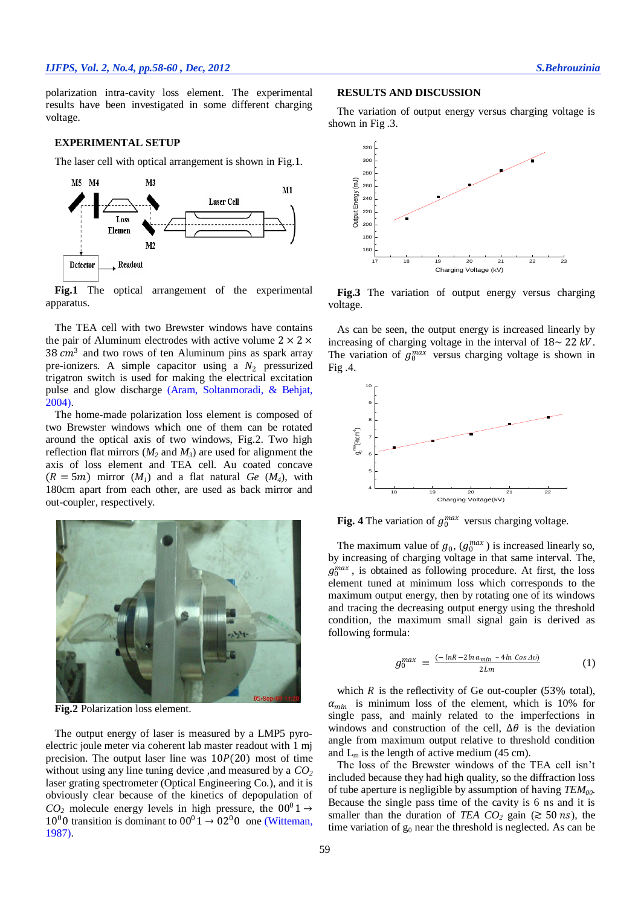polarization intra-cavity loss element. The experimental results have been investigated in some different charging voltage.

## **EXPERIMENTAL SETUP**

The laser cell with optical arrangement is shown in Fig.1.



Fig.1 The optical arrangement of the experimental apparatus.

The TEA cell with two Brewster windows have contains the pair of Aluminum electrodes with active volume  $2 \times 2 \times$ 38  $cm<sup>3</sup>$  and two rows of ten Aluminum pins as spark array pre-ionizers. A simple capacitor using a  $N_2$  pressurized trigatron switch is used for making the electrical excitation pulse and glow discharge [\(Aram, Soltanmoradi, & Behjat,](#page-2-16)  [2004\)](#page-2-16).

The home-made polarization loss element is composed of two Brewster windows which one of them can be rotated around the optical axis of two windows, Fig.2. Two high reflection flat mirrors ( $M_2$  and  $M_3$ ) are used for alignment the axis of loss element and TEA cell. Au coated concave  $(R = 5m)$  mirror  $(M<sub>1</sub>)$  and a flat natural *Ge*  $(M<sub>4</sub>)$ , with 180cm apart from each other, are used as back mirror and out-coupler, respectively.



**Fig.2** Polarization loss element.

The output energy of laser is measured by a LMP5 pyroelectric joule meter via coherent lab master readout with 1 mj precision. The output laser line was  $10P(20)$  most of time without using any line tuning device ,and measured by a *CO<sup>2</sup>* laser grating spectrometer (Optical Engineering Co.), and it is obviously clear because of the kinetics of depopulation of  $CO<sub>2</sub>$  molecule energy levels in high pressure, the  $00^01 \rightarrow$  $10^{0}$  0 transition is dominant to  $00^{0}$  1  $\rightarrow$  02<sup>0</sup> 0 one (Witteman, [1987\)](#page-2-18).

### **RESULTS AND DISCUSSION**

The variation of output energy versus charging voltage is shown in Fig .3.



**Fig.3** The variation of output energy versus charging voltage.

As can be seen, the output energy is increased linearly by increasing of charging voltage in the interval of  $18 \sim 22 \, kV$ . The variation of  $g_0^{max}$  versus charging voltage is shown in Fig .4.



Fig. 4 The variation of  $g_0^{max}$  versus charging voltage.

The maximum value of  $g_0$ ,  $(g_0^{max})$  is increased linearly so, by increasing of charging voltage in that same interval. The,  $g_0^{max}$ , is obtained as following procedure. At first, the loss element tuned at minimum loss which corresponds to the maximum output energy, then by rotating one of its windows and tracing the decreasing output energy using the threshold condition, the maximum small signal gain is derived as following formula:

$$
g_0^{max} = \frac{(-\ln R - 2\ln a_{min} - 4\ln \cos \Delta \upsilon)}{2\ln n}
$$
 (1)

which  $R$  is the reflectivity of Ge out-coupler (53% total),  $\alpha_{min}$  is minimum loss of the element, which is 10% for single pass, and mainly related to the imperfections in windows and construction of the cell,  $\Delta\theta$  is the deviation angle from maximum output relative to threshold condition and  $L_m$  is the length of active medium (45 cm).

The loss of the Brewster windows of the TEA cell isn't included because they had high quality, so the diffraction loss of tube aperture is negligible by assumption of having *TEM00*. Because the single pass time of the cavity is 6 ns and it is smaller than the duration of *TEA CO*<sub>2</sub> gain ( $\gtrsim$  50 *ns*), the time variation of  $g_0$  near the threshold is neglected. As can be